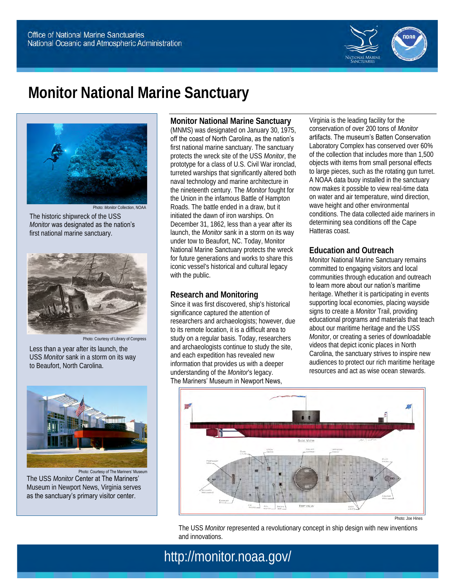

# **Monitor National Marine Sanctuary**



The historic shipwreck of the USS *Monitor* was designated as the nation's first national marine sanctuary.



Photo: Courtesy of Library of Congress

Less than a year after its launch, the USS *Monitor* sank in a storm on its way to Beaufort, North Carolina.



Photo: Courtesy of The Mariners' Museum The USS *Monitor* Center at The Mariners' Museum in Newport News, Virginia serves as the sanctuary's primary visitor center.

**Monitor National Marine Sanctuary**  (MNMS) was designated on January 30, 1975, off the coast of North Carolina, as the nation's first national marine sanctuary. The sanctuary protects the wreck site of the USS *Monitor*, the prototype for a class of U.S. Civil War ironclad, turreted warships that significantly altered both naval technology and marine architecture in the nineteenth century. The *Monitor* fought for the Union in the infamous Battle of Hampton Roads. The battle ended in a draw, but it initiated the dawn of iron warships. On December 31, 1862, less than a year after its launch, the *Monitor* sank in a storm on its way under tow to Beaufort, NC. Today, Monitor National Marine Sanctuary protects the wreck for future generations and works to share this iconic vessel's historical and cultural legacy with the public.

#### **Research and Monitoring**

Since it was first discovered, ship's historical significance captured the attention of researchers and archaeologists; however, due to its remote location, it is a difficult area to study on a regular basis. Today, researchers and archaeologists continue to study the site, and each expedition has revealed new information that provides us with a deeper understanding of the *Monitor*'s legacy. The Mariners' Museum in Newport News,

Virginia is the leading facility for the conservation of over 200 tons of *Monitor*  artifacts. The museum's Batten Conservation Laboratory Complex has conserved over 60% of the collection that includes more than 1,500 objects with items from small personal effects to large pieces, such as the rotating gun turret. A NOAA data buoy installed in the sanctuary now makes it possible to view real-time data on water and air temperature, wind direction, wave height and other environmental conditions. The data collected aide mariners in determining sea conditions off the Cape Hatteras coast.

### **Education and Outreach**

Monitor National Marine Sanctuary remains committed to engaging visitors and local communities through education and outreach to learn more about our nation's maritime heritage. Whether it is participating in events supporting local economies, placing wayside signs to create a *Monitor* Trail, providing educational programs and materials that teach about our maritime heritage and the USS *Monitor*, or creating a series of downloadable videos that depict iconic places in North Carolina, the sanctuary strives to inspire new audiences to protect our rich maritime heritage resources and act as wise ocean stewards.



Photo: Joe Hines

The USS *Monitor* represented a revolutionary concept in ship design with new inventions and innovations.

# http://monitor.noaa.gov/